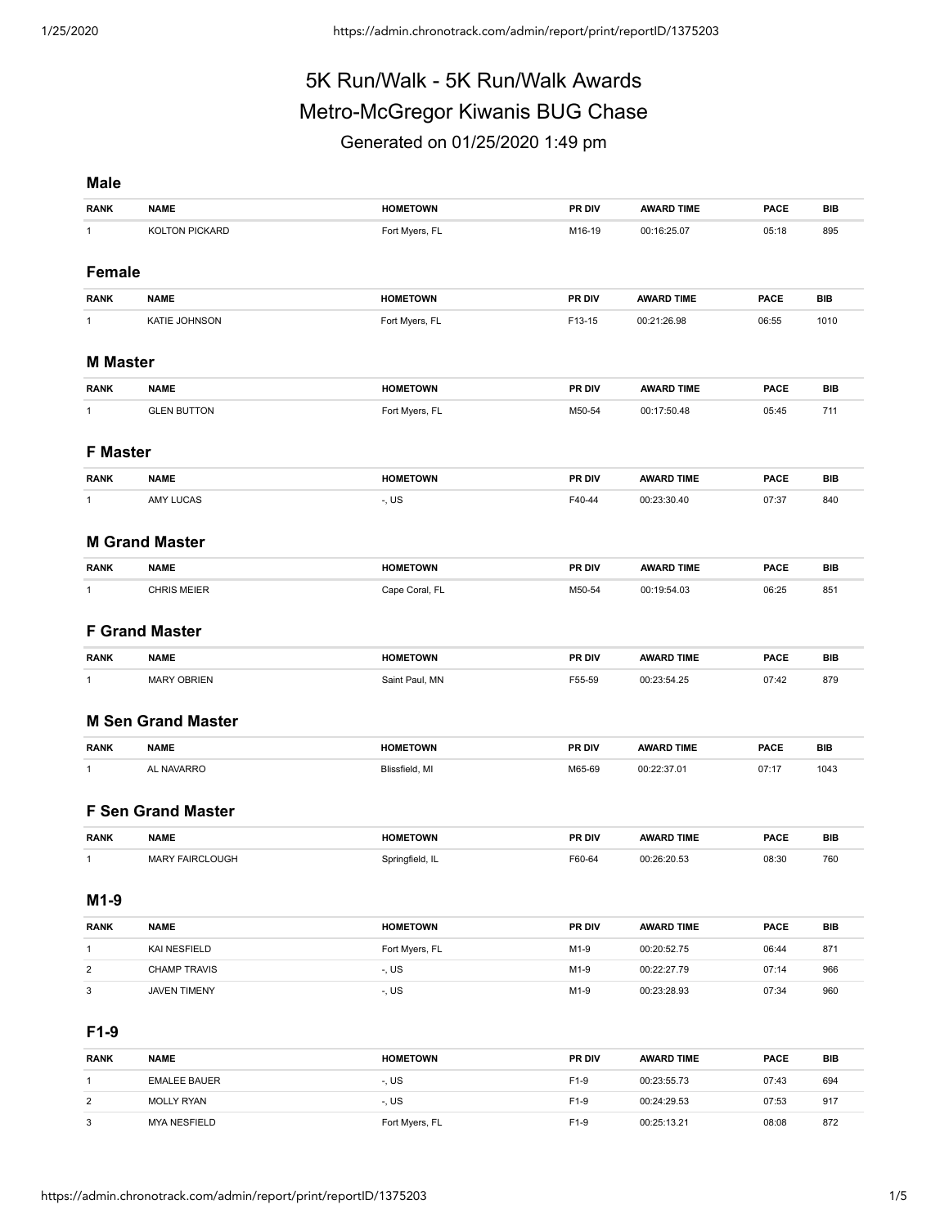# 5K Run/Walk - 5K Run/Walk Awards Metro-McGregor Kiwanis BUG Chase Generated on 01/25/2020 1:49 pm

## **Male**

| <b>RANK</b>               | <b>NAME</b>               | <b>HOMETOWN</b> | PR DIV | <b>AWARD TIME</b> | <b>PACE</b> | <b>BIB</b> |
|---------------------------|---------------------------|-----------------|--------|-------------------|-------------|------------|
| $\mathbf{1}$              | KOLTON PICKARD            | Fort Myers, FL  | M16-19 | 00:16:25.07       | 05:18       | 895        |
|                           |                           |                 |        |                   |             |            |
| <b>Female</b>             |                           |                 |        |                   |             |            |
| <b>RANK</b>               | <b>NAME</b>               | <b>HOMETOWN</b> | PR DIV | <b>AWARD TIME</b> | <b>PACE</b> | <b>BIB</b> |
| $\mathbf{1}$              | <b>KATIE JOHNSON</b>      | Fort Myers, FL  | F13-15 | 00:21:26.98       | 06:55       | 1010       |
|                           |                           |                 |        |                   |             |            |
| <b>M</b> Master           |                           |                 |        |                   |             |            |
| <b>RANK</b>               | <b>NAME</b>               | <b>HOMETOWN</b> | PR DIV | <b>AWARD TIME</b> | <b>PACE</b> | <b>BIB</b> |
| $\mathbf{1}$              | <b>GLEN BUTTON</b>        | Fort Myers, FL  | M50-54 | 00:17:50.48       | 05:45       | 711        |
|                           |                           |                 |        |                   |             |            |
| <b>F Master</b>           |                           |                 |        |                   |             |            |
| <b>RANK</b>               | <b>NAME</b>               | <b>HOMETOWN</b> | PR DIV | <b>AWARD TIME</b> | <b>PACE</b> | <b>BIB</b> |
| 1                         | AMY LUCAS                 | -, US           | F40-44 | 00:23:30.40       | 07:37       | 840        |
|                           |                           |                 |        |                   |             |            |
|                           | <b>M Grand Master</b>     |                 |        |                   |             |            |
| <b>RANK</b>               | <b>NAME</b>               | <b>HOMETOWN</b> | PR DIV | <b>AWARD TIME</b> | <b>PACE</b> | BIB        |
| $\mathbf{1}$              | <b>CHRIS MEIER</b>        | Cape Coral, FL  | M50-54 | 00:19:54.03       | 06:25       | 851        |
|                           |                           |                 |        |                   |             |            |
|                           | <b>F Grand Master</b>     |                 |        |                   |             |            |
| <b>RANK</b>               | <b>NAME</b>               | <b>HOMETOWN</b> | PR DIV | <b>AWARD TIME</b> | <b>PACE</b> | <b>BIB</b> |
| $\mathbf{1}$              | <b>MARY OBRIEN</b>        | Saint Paul, MN  | F55-59 | 00:23:54.25       | 07:42       | 879        |
|                           |                           |                 |        |                   |             |            |
|                           | <b>M Sen Grand Master</b> |                 |        |                   |             |            |
| <b>RANK</b>               | <b>NAME</b>               | <b>HOMETOWN</b> | PR DIV | <b>AWARD TIME</b> | <b>PACE</b> | <b>BIB</b> |
| $\mathbf{1}$              | AL NAVARRO                | Blissfield, MI  | M65-69 | 00:22:37.01       | 07:17       | 1043       |
|                           |                           |                 |        |                   |             |            |
|                           | <b>F Sen Grand Master</b> |                 |        |                   |             |            |
|                           |                           |                 |        |                   |             |            |
| <b>RANK</b>               | <b>NAME</b>               | <b>HOMETOWN</b> | PR DIV | <b>AWARD TIME</b> | <b>PACE</b> | <b>BIB</b> |
| 1                         | <b>MARY FAIRCLOUGH</b>    | Springfield, IL | F60-64 | 00:26:20.53       | 08:30       | 760        |
| M1-9                      |                           |                 |        |                   |             |            |
|                           |                           |                 |        |                   |             |            |
| <b>RANK</b>               | <b>NAME</b>               | <b>HOMETOWN</b> | PR DIV | <b>AWARD TIME</b> | <b>PACE</b> | BIB        |
| $\mathbf{1}$              | KAI NESFIELD              | Fort Myers, FL  | $M1-9$ | 00:20:52.75       | 06:44       | 871        |
| $\overline{\mathbf{c}}$   | <b>CHAMP TRAVIS</b>       | -, US           | $M1-9$ | 00:22:27.79       | 07:14       | 966        |
| $\ensuremath{\mathsf{3}}$ | JAVEN TIMENY              | -, US           | M1-9   | 00:23:28.93       | 07:34       | 960        |
|                           |                           |                 |        |                   |             |            |
| $F1-9$                    |                           |                 |        |                   |             |            |

| <b>RANK</b>    | <b>NAME</b>         | <b>HOMETOWN</b> | <b>PR DIV</b>    | <b>AWARD TIME</b> | <b>PACE</b> | BIB |
|----------------|---------------------|-----------------|------------------|-------------------|-------------|-----|
|                | <b>EMALEE BAUER</b> | -, US           | F <sub>1-9</sub> | 00:23:55.73       | 07:43       | 694 |
| $\overline{2}$ | <b>MOLLY RYAN</b>   | -, US           | F <sub>1-9</sub> | 00:24:29.53       | 07:53       | 917 |
| 3              | MYA NESFIELD        | Fort Myers, FL  | F <sub>1-9</sub> | 00:25:13.21       | 08:08       | 872 |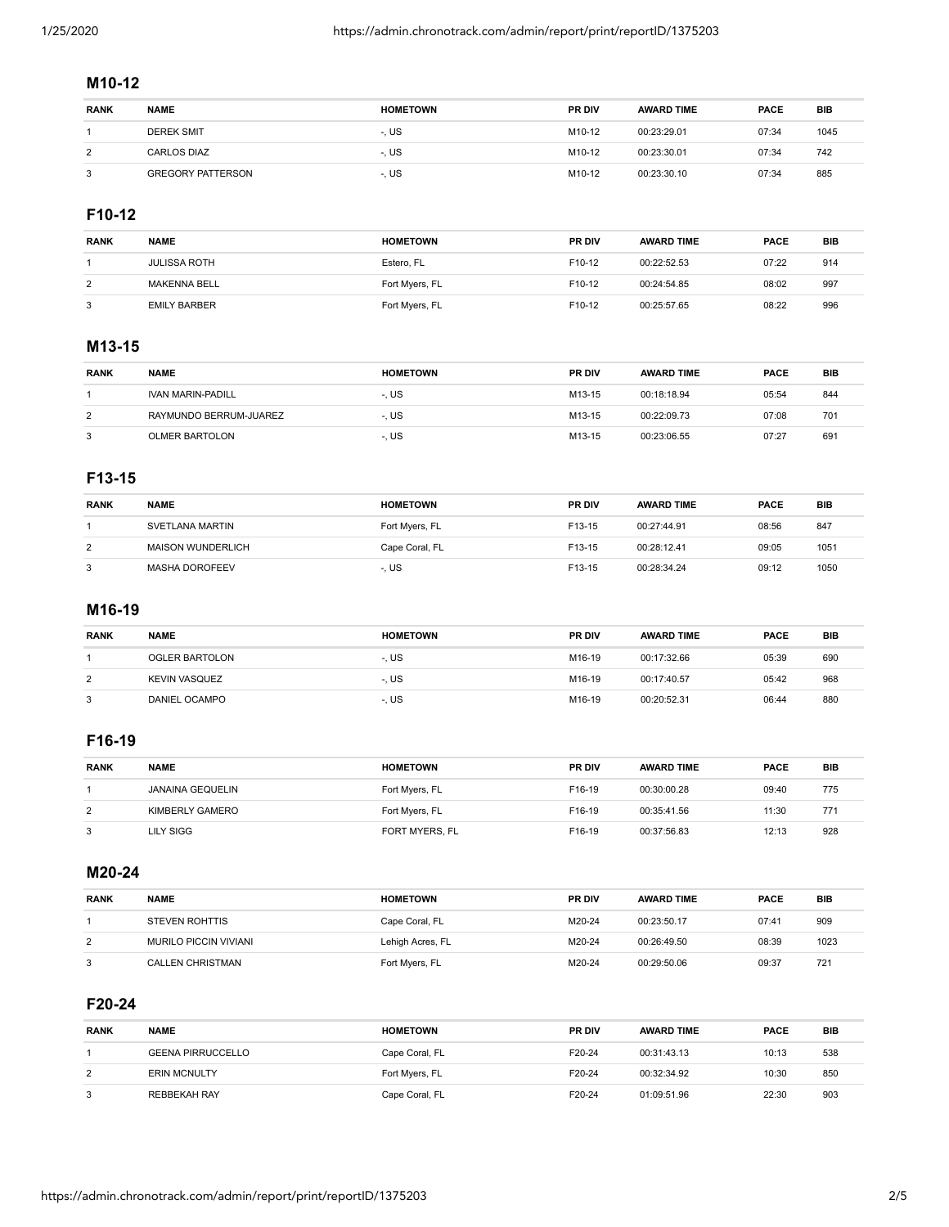## **M10-12**

| <b>RANK</b>    | <b>NAME</b>              | <b>HOMETOWN</b> | <b>PR DIV</b> | <b>AWARD TIME</b> | <b>PACE</b> | <b>BIB</b> |
|----------------|--------------------------|-----------------|---------------|-------------------|-------------|------------|
|                | <b>DEREK SMIT</b>        | -, US           | M10-12        | 00:23:29.01       | 07:34       | 1045       |
| $\overline{2}$ | <b>CARLOS DIAZ</b>       | -. US           | M10-12        | 00:23:30.01       | 07:34       | 742        |
| 3              | <b>GREGORY PATTERSON</b> | -. US           | M10-12        | 00:23:30.10       | 07:34       | 885        |

## **F10-12**

| <b>RANK</b> | <b>NAME</b>         | <b>HOMETOWN</b> | <b>PR DIV</b>      | <b>AWARD TIME</b> | <b>PACE</b> | <b>BIB</b> |
|-------------|---------------------|-----------------|--------------------|-------------------|-------------|------------|
|             | <b>JULISSA ROTH</b> | Estero, FL      | F <sub>10-12</sub> | 00:22:52.53       | 07:22       | 914        |
| 2           | <b>MAKENNA BELL</b> | Fort Myers, FL  | F <sub>10-12</sub> | 00:24:54.85       | 08:02       | 997        |
| 3           | <b>EMILY BARBER</b> | Fort Myers, FL  | F <sub>10-12</sub> | 00:25:57.65       | 08:22       | 996        |

## **M13-15**

| <b>RANK</b> | <b>NAME</b>              | <b>HOMETOWN</b> | <b>PR DIV</b> | <b>AWARD TIME</b> | <b>PACE</b> | BIB |
|-------------|--------------------------|-----------------|---------------|-------------------|-------------|-----|
|             | <b>IVAN MARIN-PADILL</b> | -. US           | M13-15        | 00:18:18.94       | 05:54       | 844 |
| 2           | RAYMUNDO BERRUM-JUAREZ   | -. US           | M13-15        | 00:22:09.73       | 07:08       | 701 |
| 3           | <b>OLMER BARTOLON</b>    | -. US           | M13-15        | 00:23:06.55       | 07:27       | 691 |

## **F13-15**

| <b>RANK</b> | <b>NAME</b>              | <b>HOMETOWN</b> | <b>PR DIV</b> | <b>AWARD TIME</b> | <b>PACE</b> | <b>BIB</b> |
|-------------|--------------------------|-----------------|---------------|-------------------|-------------|------------|
|             | SVETLANA MARTIN          | Fort Myers, FL  | F13-15        | 00:27:44.91       | 08:56       | 847        |
| 2           | <b>MAISON WUNDERLICH</b> | Cape Coral, FL  | F13-15        | 00:28:12.41       | 09:05       | 1051       |
| 3           | MASHA DOROFEEV           | -. US           | F13-15        | 00:28:34.24       | 09:12       | 1050       |

#### **M16-19**

| <b>RANK</b> | <b>NAME</b>          | <b>HOMETOWN</b> | <b>PR DIV</b>      | <b>AWARD TIME</b> | <b>PACE</b> | BIB |
|-------------|----------------------|-----------------|--------------------|-------------------|-------------|-----|
|             | OGLER BARTOLON       | -. US           | M <sub>16-19</sub> | 00:17:32.66       | 05:39       | 690 |
| 2           | <b>KEVIN VASQUEZ</b> | -. US           | M <sub>16-19</sub> | 00:17:40.57       | 05:42       | 968 |
| 3           | DANIEL OCAMPO        | -. US           | M <sub>16-19</sub> | 00:20:52.31       | 06:44       | 880 |

## **F16-19**

| <b>RANK</b> | <b>NAME</b>             | <b>HOMETOWN</b> | <b>PR DIV</b>      | <b>AWARD TIME</b> | <b>PACE</b> | BIB |
|-------------|-------------------------|-----------------|--------------------|-------------------|-------------|-----|
|             | <b>JANAINA GEQUELIN</b> | Fort Myers, FL  | F <sub>16-19</sub> | 00:30:00.28       | 09:40       | 775 |
| 2           | KIMBERLY GAMERO         | Fort Myers, FL  | F <sub>16-19</sub> | 00:35:41.56       | 11:30       | 771 |
| 3           | LILY SIGG               | FORT MYERS, FL  | F <sub>16-19</sub> | 00:37:56.83       | 12:13       | 928 |

## **M20-24**

| <b>RANK</b> | <b>NAME</b>                  | <b>HOMETOWN</b>  | <b>PR DIV</b> | <b>AWARD TIME</b> | <b>PACE</b> | BIB  |
|-------------|------------------------------|------------------|---------------|-------------------|-------------|------|
|             | <b>STEVEN ROHTTIS</b>        | Cape Coral, FL   | M20-24        | 00:23:50.17       | 07:41       | 909  |
| 2           | <b>MURILO PICCIN VIVIANI</b> | Lehigh Acres, FL | M20-24        | 00:26:49.50       | 08:39       | 1023 |
| 3           | <b>CALLEN CHRISTMAN</b>      | Fort Myers, FL   | M20-24        | 00:29:50.06       | 09:37       | 721  |

## **F20-24**

| <b>RANK</b>    | <b>NAME</b>              | <b>HOMETOWN</b> | <b>PR DIV</b> | <b>AWARD TIME</b> | <b>PACE</b> | BIB |
|----------------|--------------------------|-----------------|---------------|-------------------|-------------|-----|
|                | <b>GEENA PIRRUCCELLO</b> | Cape Coral, FL  | F20-24        | 00:31:43.13       | 10:13       | 538 |
| $\overline{2}$ | <b>ERIN MCNULTY</b>      | Fort Myers, FL  | F20-24        | 00:32:34.92       | 10:30       | 850 |
| 3              | REBBEKAH RAY             | Cape Coral, FL  | F20-24        | 01:09:51.96       | 22:30       | 903 |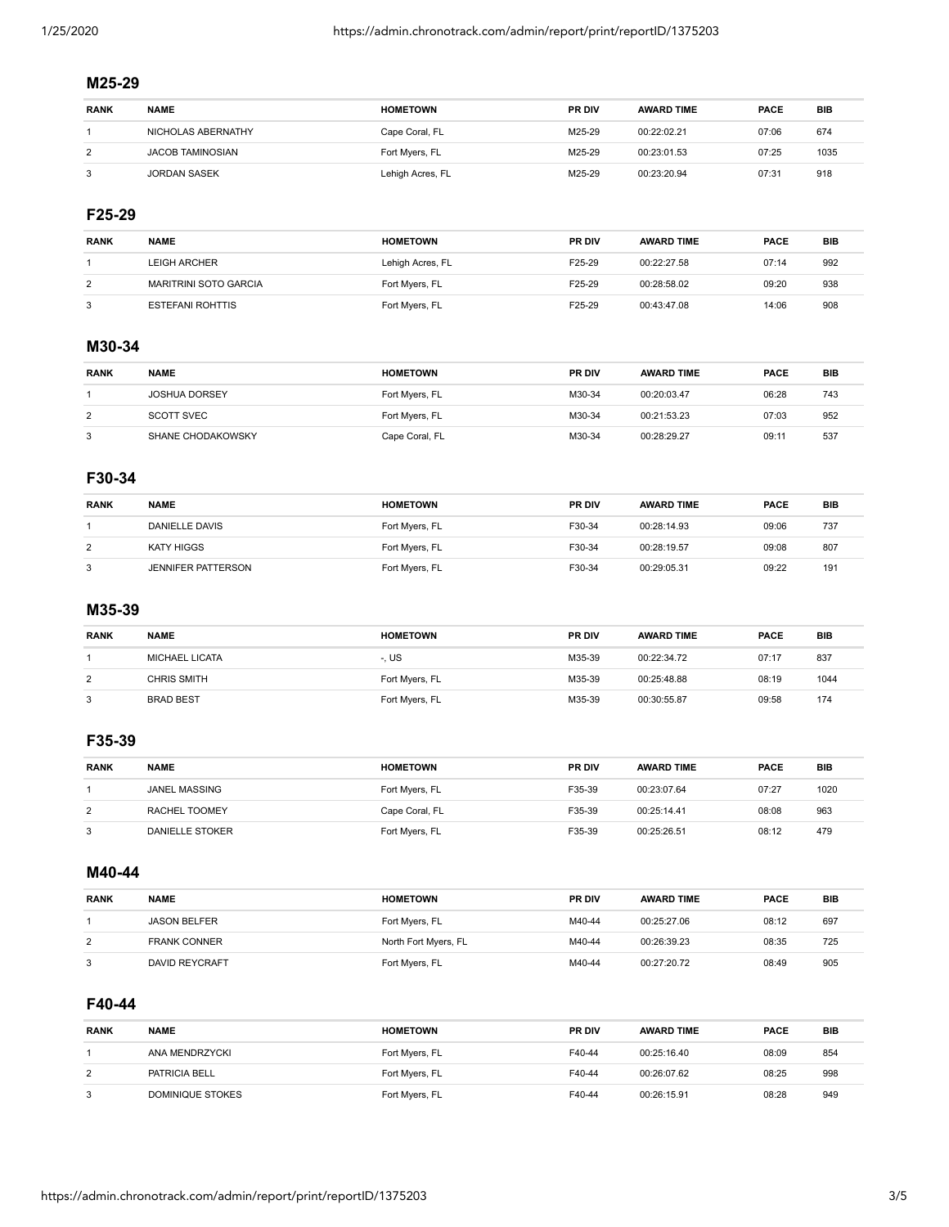## **M25-29**

| <b>RANK</b>    | <b>NAME</b>        | <b>HOMETOWN</b>  | <b>PR DIV</b> | <b>AWARD TIME</b> | <b>PACE</b> | <b>BIB</b> |
|----------------|--------------------|------------------|---------------|-------------------|-------------|------------|
|                | NICHOLAS ABERNATHY | Cape Coral, FL   | M25-29        | 00:22:02.21       | 07:06       | 674        |
| $\overline{2}$ | JACOB TAMINOSIAN   | Fort Myers, FL   | M25-29        | 00:23:01.53       | 07:25       | 1035       |
| 3              | JORDAN SASEK       | Lehigh Acres, FL | M25-29        | 00:23:20.94       | 07:31       | 918        |

#### **F25-29**

| <b>RANK</b> | <b>NAME</b>                  | <b>HOMETOWN</b>  | <b>PR DIV</b> | <b>AWARD TIME</b> | <b>PACE</b> | BIB |
|-------------|------------------------------|------------------|---------------|-------------------|-------------|-----|
|             | <b>LEIGH ARCHER</b>          | Lehigh Acres, FL | F25-29        | 00:22:27.58       | 07:14       | 992 |
| 2           | <b>MARITRINI SOTO GARCIA</b> | Fort Myers, FL   | F25-29        | 00:28:58.02       | 09:20       | 938 |
|             | ESTEFANI ROHTTIS             | Fort Myers, FL   | F25-29        | 00:43:47.08       | 14:06       | 908 |

## **M30-34**

| <b>RANK</b> | <b>NAME</b>          | <b>HOMETOWN</b> | <b>PR DIV</b> | <b>AWARD TIME</b> | <b>PACE</b> | <b>BIB</b> |
|-------------|----------------------|-----------------|---------------|-------------------|-------------|------------|
|             | <b>JOSHUA DORSEY</b> | Fort Myers, FL  | M30-34        | 00:20:03.47       | 06:28       | 743        |
| 2           | SCOTT SVEC           | Fort Myers, FL  | M30-34        | 00:21:53.23       | 07:03       | 952        |
| 3           | SHANE CHODAKOWSKY    | Cape Coral, FL  | M30-34        | 00:28:29.27       | 09:11       | 537        |

#### **F30-34**

| <b>RANK</b> | <b>NAME</b>               | <b>HOMETOWN</b> | <b>PR DIV</b> | <b>AWARD TIME</b> | <b>PACE</b> | <b>BIB</b> |
|-------------|---------------------------|-----------------|---------------|-------------------|-------------|------------|
|             | DANIELLE DAVIS            | Fort Myers, FL  | F30-34        | 00:28:14.93       | 09:06       | 737        |
| 2           | KATY HIGGS                | Fort Myers, FL  | F30-34        | 00:28:19.57       | 09:08       | 807        |
| 3           | <b>JENNIFER PATTERSON</b> | Fort Myers, FL  | F30-34        | 00:29:05.31       | 09:22       | 191        |

## **M35-39**

| <b>RANK</b> | <b>NAME</b>           | <b>HOMETOWN</b> | <b>PR DIV</b> | <b>AWARD TIME</b> | <b>PACE</b> | <b>BIB</b> |
|-------------|-----------------------|-----------------|---------------|-------------------|-------------|------------|
|             | <b>MICHAEL LICATA</b> | -. US           | M35-39        | 00:22:34.72       | 07:17       | 837        |
| 2           | CHRIS SMITH           | Fort Myers, FL  | M35-39        | 00:25:48.88       | 08:19       | 1044       |
| 3           | <b>BRAD BEST</b>      | Fort Myers, FL  | M35-39        | 00:30:55.87       | 09:58       | 174        |

## **F35-39**

| <b>RANK</b> | <b>NAME</b>          | <b>HOMETOWN</b> | <b>PR DIV</b> | <b>AWARD TIME</b> | <b>PACE</b> | <b>BIB</b> |
|-------------|----------------------|-----------------|---------------|-------------------|-------------|------------|
|             | <b>JANEL MASSING</b> | Fort Myers, FL  | F35-39        | 00:23:07.64       | 07:27       | 1020       |
| 2           | RACHEL TOOMEY        | Cape Coral, FL  | F35-39        | 00:25:14.41       | 08:08       | 963        |
|             | DANIELLE STOKER      | Fort Myers, FL  | F35-39        | 00:25:26.51       | 08:12       | 479        |

## **M40-44**

| <b>RANK</b>    | <b>NAME</b>           | <b>HOMETOWN</b>      | <b>PR DIV</b> | <b>AWARD TIME</b> | <b>PACE</b> | BIB |
|----------------|-----------------------|----------------------|---------------|-------------------|-------------|-----|
|                | <b>JASON BELFER</b>   | Fort Myers, FL       | M40-44        | 00:25:27.06       | 08:12       | 697 |
| $\overline{2}$ | <b>FRANK CONNER</b>   | North Fort Myers, FL | M40-44        | 00:26:39.23       | 08:35       | 725 |
| 3              | <b>DAVID REYCRAFT</b> | Fort Myers, FL       | M40-44        | 00:27:20.72       | 08:49       | 905 |

## **F40-44**

| <b>RANK</b>    | <b>NAME</b>      | <b>HOMETOWN</b> | <b>PR DIV</b> | <b>AWARD TIME</b> | <b>PACE</b> | BIB |
|----------------|------------------|-----------------|---------------|-------------------|-------------|-----|
|                | ANA MENDRZYCKI   | Fort Myers, FL  | F40-44        | 00:25:16.40       | 08:09       | 854 |
| $\overline{2}$ | PATRICIA BELL    | Fort Myers, FL  | F40-44        | 00:26:07.62       | 08:25       | 998 |
| 3              | DOMINIQUE STOKES | Fort Myers, FL  | F40-44        | 00:26:15.91       | 08:28       | 949 |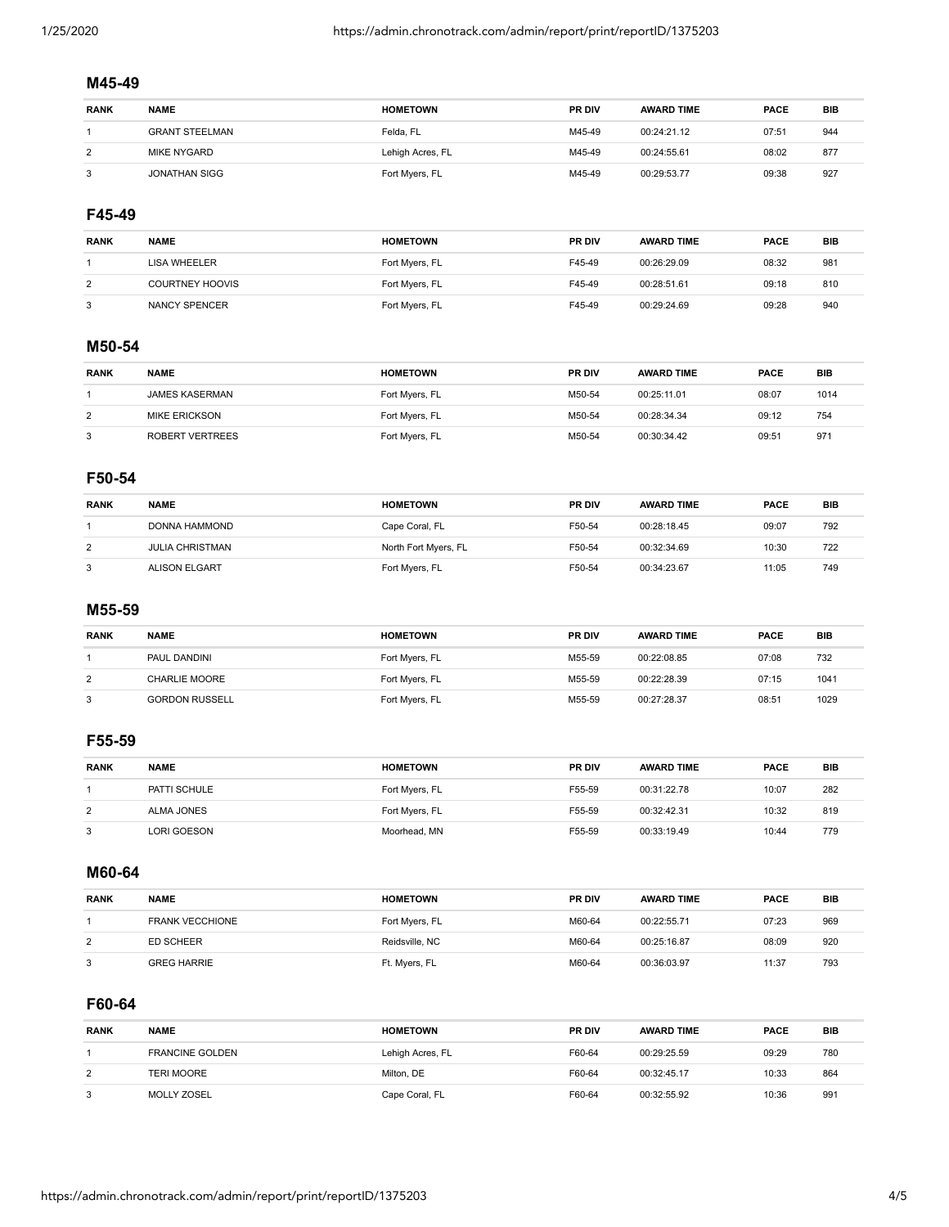## **M45-49**

| <b>RANK</b>    | <b>NAME</b>           | <b>HOMETOWN</b>  | <b>PR DIV</b> | <b>AWARD TIME</b> | <b>PACE</b> | BIB |
|----------------|-----------------------|------------------|---------------|-------------------|-------------|-----|
|                | <b>GRANT STEELMAN</b> | Felda, FL        | M45-49        | 00:24:21.12       | 07:51       | 944 |
| $\overline{2}$ | MIKE NYGARD           | Lehigh Acres, FL | M45-49        | 00:24:55.61       | 08:02       | 877 |
| 3              | <b>JONATHAN SIGG</b>  | Fort Myers, FL   | M45-49        | 00:29:53.77       | 09:38       | 927 |

#### **F45-49**

| <b>RANK</b> | <b>NAME</b>            | <b>HOMETOWN</b> | <b>PR DIV</b> | <b>AWARD TIME</b> | <b>PACE</b> | BIB |
|-------------|------------------------|-----------------|---------------|-------------------|-------------|-----|
|             | LISA WHEELER           | Fort Myers, FL  | F45-49        | 00:26:29.09       | 08:32       | 981 |
| 2           | <b>COURTNEY HOOVIS</b> | Fort Myers, FL  | F45-49        | 00:28:51.61       | 09:18       | 810 |
| 3           | NANCY SPENCER          | Fort Myers, FL  | F45-49        | 00:29:24.69       | 09:28       | 940 |

## **M50-54**

| <b>RANK</b> | <b>NAME</b>           | <b>HOMETOWN</b> | <b>PR DIV</b> | <b>AWARD TIME</b> | <b>PACE</b> | <b>BIB</b> |
|-------------|-----------------------|-----------------|---------------|-------------------|-------------|------------|
|             | <b>JAMES KASERMAN</b> | Fort Myers, FL  | M50-54        | 00:25:11.01       | 08:07       | 1014       |
| 2           | <b>MIKE ERICKSON</b>  | Fort Myers, FL  | M50-54        | 00:28:34.34       | 09:12       | 754        |
| 3           | ROBERT VERTREES       | Fort Myers, FL  | M50-54        | 00:30:34.42       | 09:51       | 971        |

#### **F50-54**

| <b>RANK</b> | <b>NAME</b>            | <b>HOMETOWN</b>      | <b>PR DIV</b> | <b>AWARD TIME</b> | <b>PACE</b> | BIB |
|-------------|------------------------|----------------------|---------------|-------------------|-------------|-----|
|             | DONNA HAMMOND          | Cape Coral, FL       | F50-54        | 00:28:18.45       | 09:07       | 792 |
| 2           | <b>JULIA CHRISTMAN</b> | North Fort Myers, FL | F50-54        | 00:32:34.69       | 10:30       | 722 |
| 3           | ALISON ELGART          | Fort Myers, FL       | F50-54        | 00:34:23.67       | 11:05       | 749 |

#### **M55-59**

| <b>RANK</b> | <b>NAME</b>           | <b>HOMETOWN</b> | <b>PR DIV</b> | <b>AWARD TIME</b> | <b>PACE</b> | <b>BIB</b> |
|-------------|-----------------------|-----------------|---------------|-------------------|-------------|------------|
|             | PAUL DANDINI          | Fort Myers, FL  | M55-59        | 00:22:08.85       | 07:08       | 732        |
| 2           | CHARLIE MOORE         | Fort Myers, FL  | M55-59        | 00:22:28.39       | 07:15       | 1041       |
| 3           | <b>GORDON RUSSELL</b> | Fort Myers, FL  | M55-59        | 00:27:28.37       | 08:51       | 1029       |

## **F55-59**

| <b>RANK</b> | <b>NAME</b>  | <b>HOMETOWN</b> | <b>PR DIV</b> | <b>AWARD TIME</b> | <b>PACE</b> | BIB |
|-------------|--------------|-----------------|---------------|-------------------|-------------|-----|
|             | PATTI SCHULE | Fort Myers, FL  | F55-59        | 00:31:22.78       | 10:07       | 282 |
| 2           | ALMA JONES   | Fort Myers, FL  | F55-59        | 00:32:42.31       | 10:32       | 819 |
| 3           | LORI GOESON  | Moorhead, MN    | F55-59        | 00:33:19.49       | 10:44       | 779 |

**M60-64**

| <b>RANK</b> | <b>NAME</b>            | <b>HOMETOWN</b> | <b>PR DIV</b> | <b>AWARD TIME</b> | <b>PACE</b> | <b>BIB</b> |
|-------------|------------------------|-----------------|---------------|-------------------|-------------|------------|
|             | <b>FRANK VECCHIONE</b> | Fort Myers, FL  | M60-64        | 00:22:55.71       | 07:23       | 969        |
| 2           | ED SCHEER              | Reidsville, NC  | M60-64        | 00:25:16.87       | 08:09       | 920        |
| 3           | <b>GREG HARRIE</b>     | Ft. Myers, FL   | M60-64        | 00:36:03.97       | 11:37       | 793        |

## **F60-64**

| <b>RANK</b>    | <b>NAME</b>            | <b>HOMETOWN</b>  | <b>PR DIV</b> | <b>AWARD TIME</b> | <b>PACE</b> | BIB |
|----------------|------------------------|------------------|---------------|-------------------|-------------|-----|
|                | <b>FRANCINE GOLDEN</b> | Lehigh Acres, FL | F60-64        | 00:29:25.59       | 09:29       | 780 |
| $\overline{2}$ | <b>TERI MOORE</b>      | Milton, DE       | F60-64        | 00:32:45.17       | 10:33       | 864 |
| 3              | <b>MOLLY ZOSEL</b>     | Cape Coral, FL   | F60-64        | 00:32:55.92       | 10:36       | 991 |